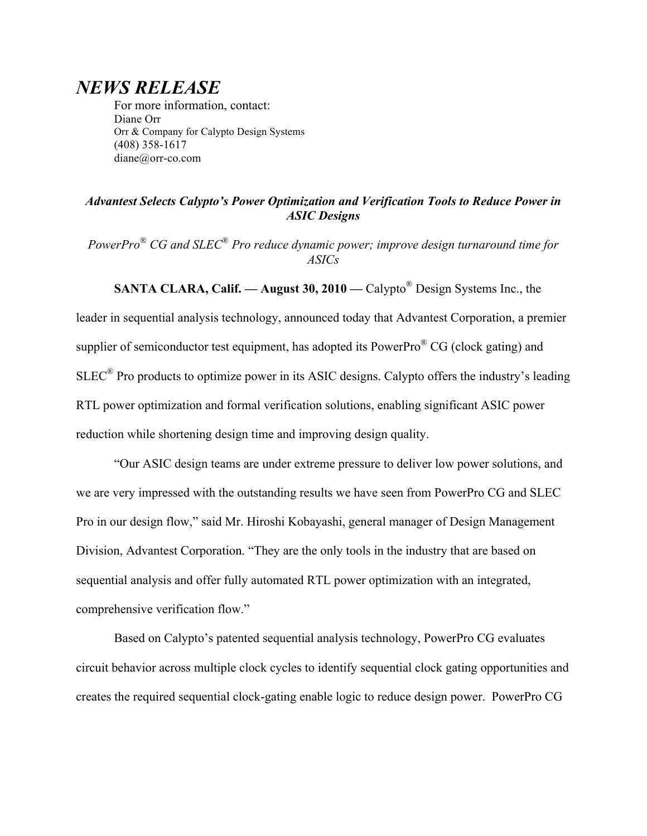# *NEWS RELEASE*

For more information, contact: Diane Orr Orr & Company for Calypto Design Systems (408) 358-1617 diane@orr-co.com

## *Advantest Selects Calypto's Power Optimization and Verification Tools to Reduce Power in ASIC Designs*

*PowerPro*® *CG and SLEC*® *Pro reduce dynamic power; improve design turnaround time for ASICs*

**SANTA CLARA, Calif. — August 30, 2010 —** Calypto<sup>®</sup> Design Systems Inc., the

leader in sequential analysis technology, announced today that Advantest Corporation, a premier supplier of semiconductor test equipment, has adopted its PowerPro $^{\circ}$  CG (clock gating) and  $SLEC^{\circledR}$  Pro products to optimize power in its ASIC designs. Calypto offers the industry's leading RTL power optimization and formal verification solutions, enabling significant ASIC power reduction while shortening design time and improving design quality.

"Our ASIC design teams are under extreme pressure to deliver low power solutions, and we are very impressed with the outstanding results we have seen from PowerPro CG and SLEC Pro in our design flow," said Mr. Hiroshi Kobayashi, general manager of Design Management Division, Advantest Corporation. "They are the only tools in the industry that are based on sequential analysis and offer fully automated RTL power optimization with an integrated, comprehensive verification flow."

Based on Calypto's patented sequential analysis technology, PowerPro CG evaluates circuit behavior across multiple clock cycles to identify sequential clock gating opportunities and creates the required sequential clock-gating enable logic to reduce design power. PowerPro CG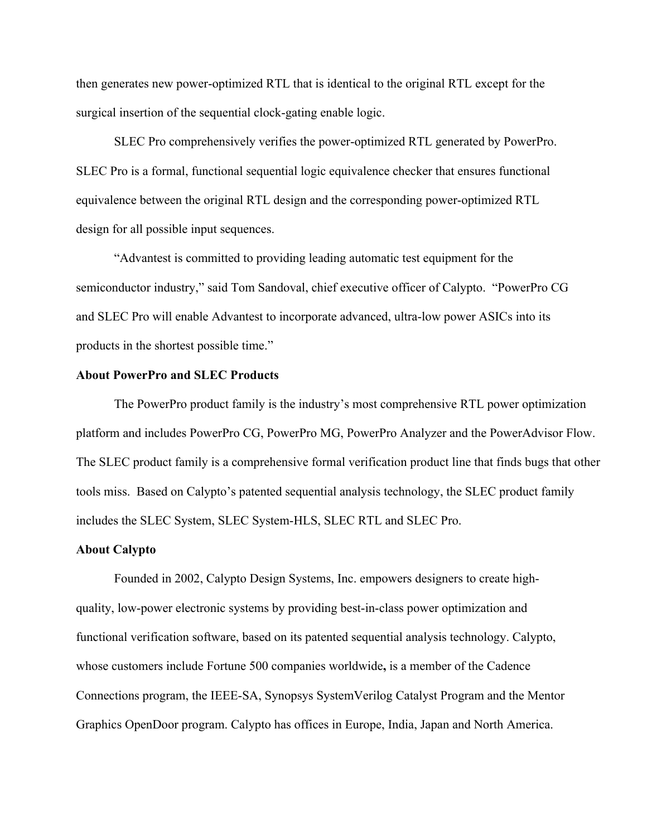then generates new power-optimized RTL that is identical to the original RTL except for the surgical insertion of the sequential clock-gating enable logic.

SLEC Pro comprehensively verifies the power-optimized RTL generated by PowerPro. SLEC Pro is a formal, functional sequential logic equivalence checker that ensures functional equivalence between the original RTL design and the corresponding power-optimized RTL design for all possible input sequences.

"Advantest is committed to providing leading automatic test equipment for the semiconductor industry," said Tom Sandoval, chief executive officer of Calypto. "PowerPro CG and SLEC Pro will enable Advantest to incorporate advanced, ultra-low power ASICs into its products in the shortest possible time."

#### **About PowerPro and SLEC Products**

The PowerPro product family is the industry's most comprehensive RTL power optimization platform and includes PowerPro CG, PowerPro MG, PowerPro Analyzer and the PowerAdvisor Flow. The SLEC product family is a comprehensive formal verification product line that finds bugs that other tools miss. Based on Calypto's patented sequential analysis technology, the SLEC product family includes the SLEC System, SLEC System-HLS, SLEC RTL and SLEC Pro.

### **About Calypto**

Founded in 2002, Calypto Design Systems, Inc. empowers designers to create highquality, low-power electronic systems by providing best-in-class power optimization and functional verification software, based on its patented sequential analysis technology. Calypto, whose customers include Fortune 500 companies worldwide**,** is a member of the Cadence Connections program, the IEEE-SA, Synopsys SystemVerilog Catalyst Program and the Mentor Graphics OpenDoor program. Calypto has offices in Europe, India, Japan and North America.